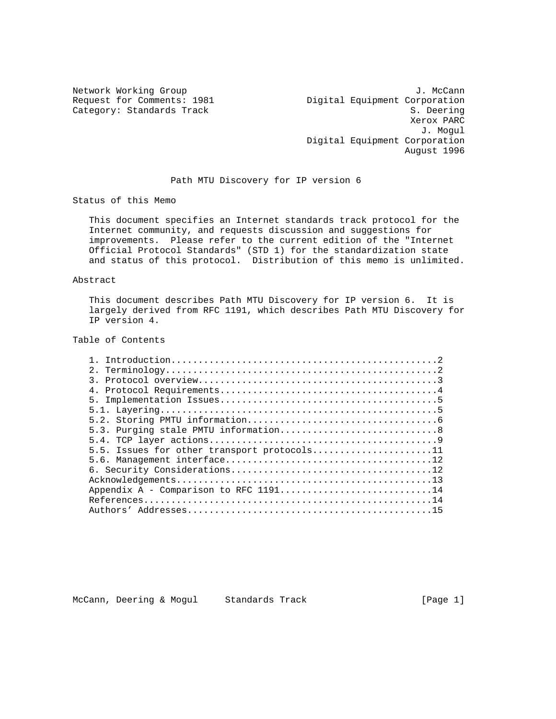Network Working Group 3. Network J. McCann Request for Comments: 1981 Quigital Equipment Corporation Category: Standards Track S. Deering Xerox PARC J. Mogul Digital Equipment Corporation August 1996

Path MTU Discovery for IP version 6

Status of this Memo

 This document specifies an Internet standards track protocol for the Internet community, and requests discussion and suggestions for improvements. Please refer to the current edition of the "Internet Official Protocol Standards" (STD 1) for the standardization state and status of this protocol. Distribution of this memo is unlimited.

### Abstract

 This document describes Path MTU Discovery for IP version 6. It is largely derived from RFC 1191, which describes Path MTU Discovery for IP version 4.

## Table of Contents

| 5.5. Issues for other transport protocols11 |
|---------------------------------------------|
|                                             |
|                                             |
|                                             |
| Appendix A - Comparison to RFC $1191$ 14    |
|                                             |
|                                             |

McCann, Deering & Mogul Standards Track (Page 1)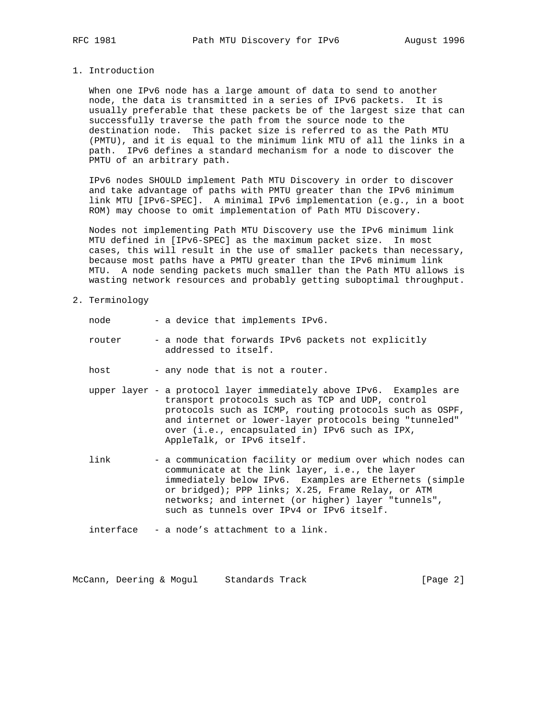#### 1. Introduction

 When one IPv6 node has a large amount of data to send to another node, the data is transmitted in a series of IPv6 packets. It is usually preferable that these packets be of the largest size that can successfully traverse the path from the source node to the destination node. This packet size is referred to as the Path MTU (PMTU), and it is equal to the minimum link MTU of all the links in a path. IPv6 defines a standard mechanism for a node to discover the PMTU of an arbitrary path.

 IPv6 nodes SHOULD implement Path MTU Discovery in order to discover and take advantage of paths with PMTU greater than the IPv6 minimum link MTU [IPv6-SPEC]. A minimal IPv6 implementation (e.g., in a boot ROM) may choose to omit implementation of Path MTU Discovery.

 Nodes not implementing Path MTU Discovery use the IPv6 minimum link MTU defined in [IPv6-SPEC] as the maximum packet size. In most cases, this will result in the use of smaller packets than necessary, because most paths have a PMTU greater than the IPv6 minimum link MTU. A node sending packets much smaller than the Path MTU allows is wasting network resources and probably getting suboptimal throughput.

2. Terminology

| node   | - a device that implements IPv6.                                                                                                                                                                                                             |
|--------|----------------------------------------------------------------------------------------------------------------------------------------------------------------------------------------------------------------------------------------------|
| router | - a node that forwards IPv6 packets not explicitly<br>addressed to itself.                                                                                                                                                                   |
| host   | - any node that is not a router.                                                                                                                                                                                                             |
|        | upper layer - a protocol layer immediately above IPv6. Examples are<br>transport protocols such as TCP and UDP, control<br>protocols such as ICMP, routing protocols such as OSPF,<br>and internet or lower-layer protocols being "tunneled" |

link - a communication facility or medium over which nodes can communicate at the link layer, i.e., the layer immediately below IPv6. Examples are Ethernets (simple or bridged); PPP links; X.25, Frame Relay, or ATM networks; and internet (or higher) layer "tunnels", such as tunnels over IPv4 or IPv6 itself.

over (i.e., encapsulated in) IPv6 such as IPX,

interface - a node's attachment to a link.

AppleTalk, or IPv6 itself.

McCann, Deering & Mogul Standards Track [Page 2]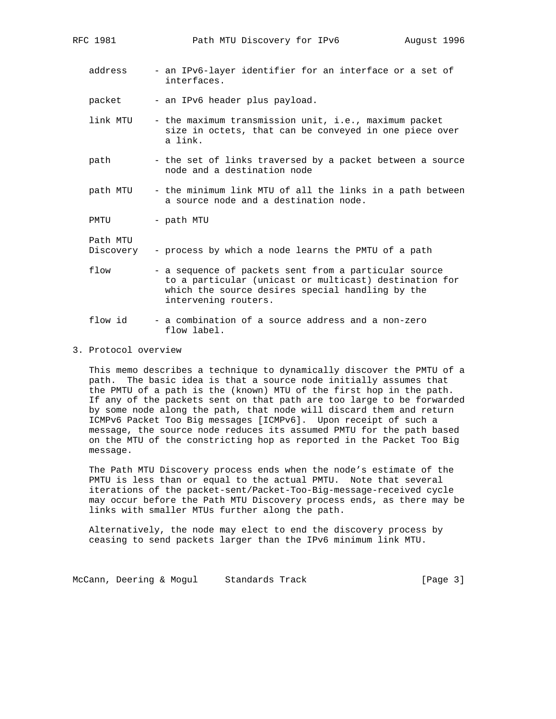- address an IPv6-layer identifier for an interface or a set of interfaces.
- packet an IPv6 header plus payload.
- link MTU the maximum transmission unit, i.e., maximum packet size in octets, that can be conveyed in one piece over a link.
- path the set of links traversed by a packet between a source node and a destination node
- path MTU the minimum link MTU of all the links in a path between a source node and a destination node.

PMTU - path MTU

| Path MTU<br>Discovery | - process by which a node learns the PMTU of a path                                                                                                                                         |
|-----------------------|---------------------------------------------------------------------------------------------------------------------------------------------------------------------------------------------|
| flow                  | - a sequence of packets sent from a particular source<br>to a particular (unicast or multicast) destination for<br>which the source desires special handling by the<br>intervening routers. |
|                       |                                                                                                                                                                                             |

- flow id a combination of a source address and a non-zero flow label.
- 3. Protocol overview

 This memo describes a technique to dynamically discover the PMTU of a path. The basic idea is that a source node initially assumes that the PMTU of a path is the (known) MTU of the first hop in the path. If any of the packets sent on that path are too large to be forwarded by some node along the path, that node will discard them and return ICMPv6 Packet Too Big messages [ICMPv6]. Upon receipt of such a message, the source node reduces its assumed PMTU for the path based on the MTU of the constricting hop as reported in the Packet Too Big message.

 The Path MTU Discovery process ends when the node's estimate of the PMTU is less than or equal to the actual PMTU. Note that several iterations of the packet-sent/Packet-Too-Big-message-received cycle may occur before the Path MTU Discovery process ends, as there may be links with smaller MTUs further along the path.

 Alternatively, the node may elect to end the discovery process by ceasing to send packets larger than the IPv6 minimum link MTU.

McCann, Deering & Mogul Standards Track [Page 3]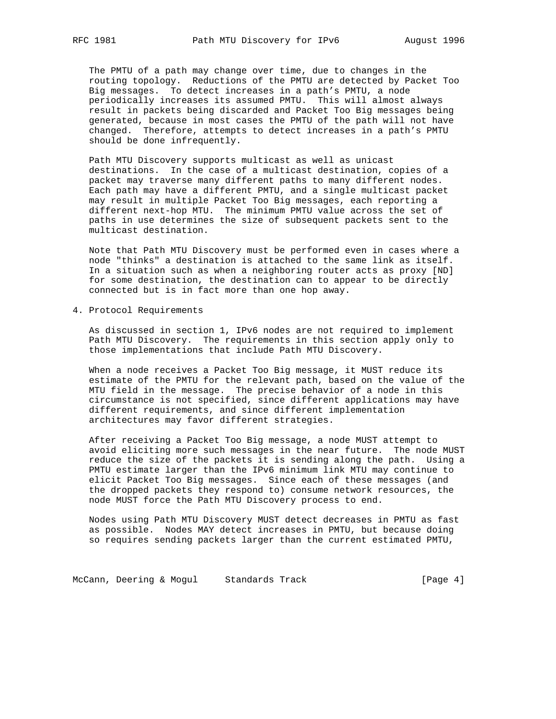The PMTU of a path may change over time, due to changes in the routing topology. Reductions of the PMTU are detected by Packet Too Big messages. To detect increases in a path's PMTU, a node periodically increases its assumed PMTU. This will almost always result in packets being discarded and Packet Too Big messages being generated, because in most cases the PMTU of the path will not have changed. Therefore, attempts to detect increases in a path's PMTU should be done infrequently.

 Path MTU Discovery supports multicast as well as unicast destinations. In the case of a multicast destination, copies of a packet may traverse many different paths to many different nodes. Each path may have a different PMTU, and a single multicast packet may result in multiple Packet Too Big messages, each reporting a different next-hop MTU. The minimum PMTU value across the set of paths in use determines the size of subsequent packets sent to the multicast destination.

 Note that Path MTU Discovery must be performed even in cases where a node "thinks" a destination is attached to the same link as itself. In a situation such as when a neighboring router acts as proxy [ND] for some destination, the destination can to appear to be directly connected but is in fact more than one hop away.

4. Protocol Requirements

 As discussed in section 1, IPv6 nodes are not required to implement Path MTU Discovery. The requirements in this section apply only to those implementations that include Path MTU Discovery.

 When a node receives a Packet Too Big message, it MUST reduce its estimate of the PMTU for the relevant path, based on the value of the MTU field in the message. The precise behavior of a node in this circumstance is not specified, since different applications may have different requirements, and since different implementation architectures may favor different strategies.

 After receiving a Packet Too Big message, a node MUST attempt to avoid eliciting more such messages in the near future. The node MUST reduce the size of the packets it is sending along the path. Using a PMTU estimate larger than the IPv6 minimum link MTU may continue to elicit Packet Too Big messages. Since each of these messages (and the dropped packets they respond to) consume network resources, the node MUST force the Path MTU Discovery process to end.

 Nodes using Path MTU Discovery MUST detect decreases in PMTU as fast as possible. Nodes MAY detect increases in PMTU, but because doing so requires sending packets larger than the current estimated PMTU,

McCann, Deering & Mogul Standards Track [Page 4]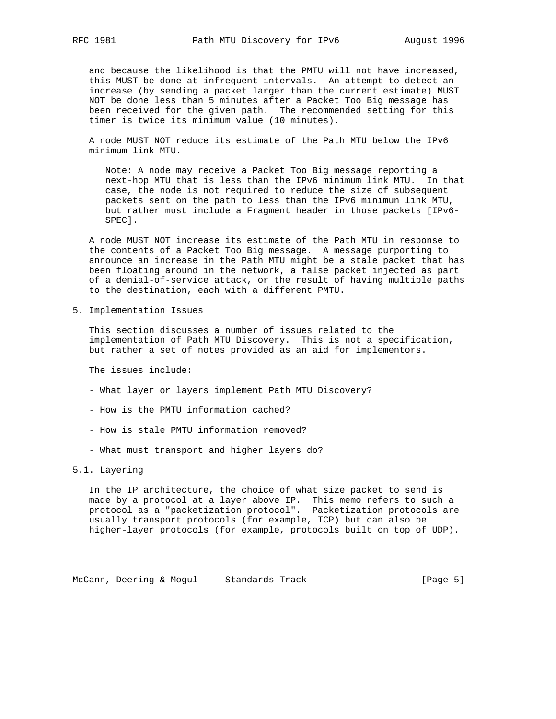and because the likelihood is that the PMTU will not have increased, this MUST be done at infrequent intervals. An attempt to detect an increase (by sending a packet larger than the current estimate) MUST NOT be done less than 5 minutes after a Packet Too Big message has been received for the given path. The recommended setting for this timer is twice its minimum value (10 minutes).

 A node MUST NOT reduce its estimate of the Path MTU below the IPv6 minimum link MTU.

 Note: A node may receive a Packet Too Big message reporting a next-hop MTU that is less than the IPv6 minimum link MTU. In that case, the node is not required to reduce the size of subsequent packets sent on the path to less than the IPv6 minimun link MTU, but rather must include a Fragment header in those packets [IPv6- SPEC].

 A node MUST NOT increase its estimate of the Path MTU in response to the contents of a Packet Too Big message. A message purporting to announce an increase in the Path MTU might be a stale packet that has been floating around in the network, a false packet injected as part of a denial-of-service attack, or the result of having multiple paths to the destination, each with a different PMTU.

5. Implementation Issues

 This section discusses a number of issues related to the implementation of Path MTU Discovery. This is not a specification, but rather a set of notes provided as an aid for implementors.

The issues include:

- What layer or layers implement Path MTU Discovery?
- How is the PMTU information cached?
- How is stale PMTU information removed?
- What must transport and higher layers do?

## 5.1. Layering

 In the IP architecture, the choice of what size packet to send is made by a protocol at a layer above IP. This memo refers to such a protocol as a "packetization protocol". Packetization protocols are usually transport protocols (for example, TCP) but can also be higher-layer protocols (for example, protocols built on top of UDP).

McCann, Deering & Mogul Standards Track (Page 5)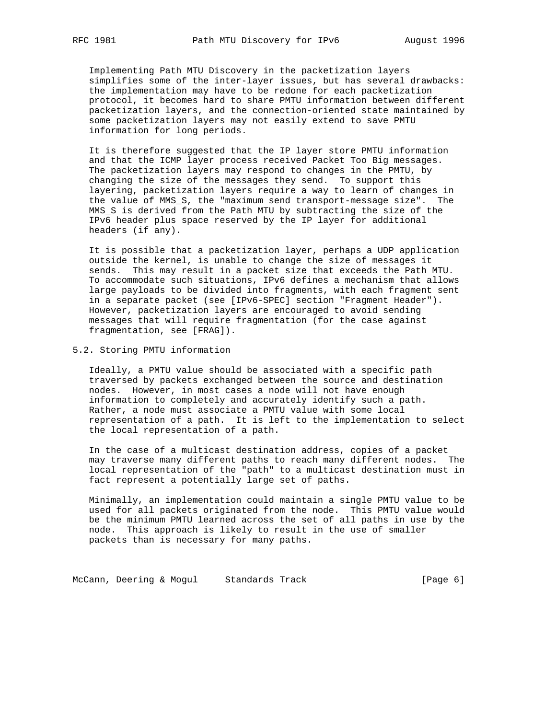Implementing Path MTU Discovery in the packetization layers simplifies some of the inter-layer issues, but has several drawbacks: the implementation may have to be redone for each packetization protocol, it becomes hard to share PMTU information between different packetization layers, and the connection-oriented state maintained by some packetization layers may not easily extend to save PMTU information for long periods.

 It is therefore suggested that the IP layer store PMTU information and that the ICMP layer process received Packet Too Big messages. The packetization layers may respond to changes in the PMTU, by changing the size of the messages they send. To support this layering, packetization layers require a way to learn of changes in the value of MMS\_S, the "maximum send transport-message size". The MMS\_S is derived from the Path MTU by subtracting the size of the IPv6 header plus space reserved by the IP layer for additional headers (if any).

 It is possible that a packetization layer, perhaps a UDP application outside the kernel, is unable to change the size of messages it sends. This may result in a packet size that exceeds the Path MTU. To accommodate such situations, IPv6 defines a mechanism that allows large payloads to be divided into fragments, with each fragment sent in a separate packet (see [IPv6-SPEC] section "Fragment Header"). However, packetization layers are encouraged to avoid sending messages that will require fragmentation (for the case against fragmentation, see [FRAG]).

5.2. Storing PMTU information

 Ideally, a PMTU value should be associated with a specific path traversed by packets exchanged between the source and destination nodes. However, in most cases a node will not have enough information to completely and accurately identify such a path. Rather, a node must associate a PMTU value with some local representation of a path. It is left to the implementation to select the local representation of a path.

 In the case of a multicast destination address, copies of a packet may traverse many different paths to reach many different nodes. The local representation of the "path" to a multicast destination must in fact represent a potentially large set of paths.

 Minimally, an implementation could maintain a single PMTU value to be used for all packets originated from the node. This PMTU value would be the minimum PMTU learned across the set of all paths in use by the node. This approach is likely to result in the use of smaller packets than is necessary for many paths.

McCann, Deering & Mogul Standards Track [Page 6]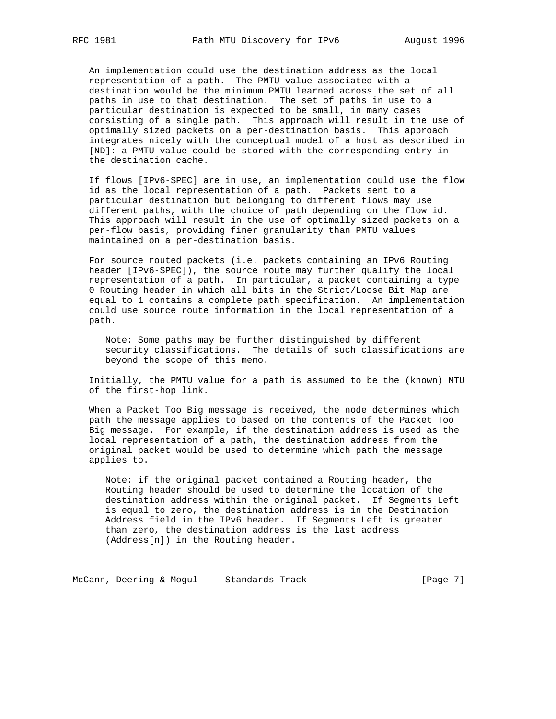An implementation could use the destination address as the local representation of a path. The PMTU value associated with a destination would be the minimum PMTU learned across the set of all paths in use to that destination. The set of paths in use to a particular destination is expected to be small, in many cases consisting of a single path. This approach will result in the use of optimally sized packets on a per-destination basis. This approach integrates nicely with the conceptual model of a host as described in [ND]: a PMTU value could be stored with the corresponding entry in the destination cache.

 If flows [IPv6-SPEC] are in use, an implementation could use the flow id as the local representation of a path. Packets sent to a particular destination but belonging to different flows may use different paths, with the choice of path depending on the flow id. This approach will result in the use of optimally sized packets on a per-flow basis, providing finer granularity than PMTU values maintained on a per-destination basis.

 For source routed packets (i.e. packets containing an IPv6 Routing header [IPv6-SPEC]), the source route may further qualify the local representation of a path. In particular, a packet containing a type 0 Routing header in which all bits in the Strict/Loose Bit Map are equal to 1 contains a complete path specification. An implementation could use source route information in the local representation of a path.

 Note: Some paths may be further distinguished by different security classifications. The details of such classifications are beyond the scope of this memo.

 Initially, the PMTU value for a path is assumed to be the (known) MTU of the first-hop link.

 When a Packet Too Big message is received, the node determines which path the message applies to based on the contents of the Packet Too Big message. For example, if the destination address is used as the local representation of a path, the destination address from the original packet would be used to determine which path the message applies to.

 Note: if the original packet contained a Routing header, the Routing header should be used to determine the location of the destination address within the original packet. If Segments Left is equal to zero, the destination address is in the Destination Address field in the IPv6 header. If Segments Left is greater than zero, the destination address is the last address (Address[n]) in the Routing header.

McCann, Deering & Mogul Standards Track (Page 7)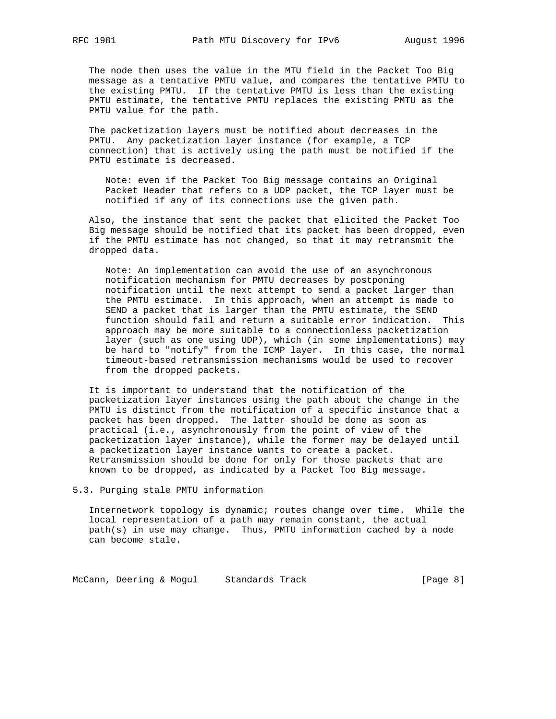The node then uses the value in the MTU field in the Packet Too Big message as a tentative PMTU value, and compares the tentative PMTU to the existing PMTU. If the tentative PMTU is less than the existing PMTU estimate, the tentative PMTU replaces the existing PMTU as the PMTU value for the path.

 The packetization layers must be notified about decreases in the PMTU. Any packetization layer instance (for example, a TCP connection) that is actively using the path must be notified if the PMTU estimate is decreased.

 Note: even if the Packet Too Big message contains an Original Packet Header that refers to a UDP packet, the TCP layer must be notified if any of its connections use the given path.

 Also, the instance that sent the packet that elicited the Packet Too Big message should be notified that its packet has been dropped, even if the PMTU estimate has not changed, so that it may retransmit the dropped data.

 Note: An implementation can avoid the use of an asynchronous notification mechanism for PMTU decreases by postponing notification until the next attempt to send a packet larger than the PMTU estimate. In this approach, when an attempt is made to SEND a packet that is larger than the PMTU estimate, the SEND function should fail and return a suitable error indication. This approach may be more suitable to a connectionless packetization layer (such as one using UDP), which (in some implementations) may be hard to "notify" from the ICMP layer. In this case, the normal timeout-based retransmission mechanisms would be used to recover from the dropped packets.

 It is important to understand that the notification of the packetization layer instances using the path about the change in the PMTU is distinct from the notification of a specific instance that a packet has been dropped. The latter should be done as soon as practical (i.e., asynchronously from the point of view of the packetization layer instance), while the former may be delayed until a packetization layer instance wants to create a packet. Retransmission should be done for only for those packets that are known to be dropped, as indicated by a Packet Too Big message.

5.3. Purging stale PMTU information

 Internetwork topology is dynamic; routes change over time. While the local representation of a path may remain constant, the actual path(s) in use may change. Thus, PMTU information cached by a node can become stale.

McCann, Deering & Mogul Standards Track (Page 8)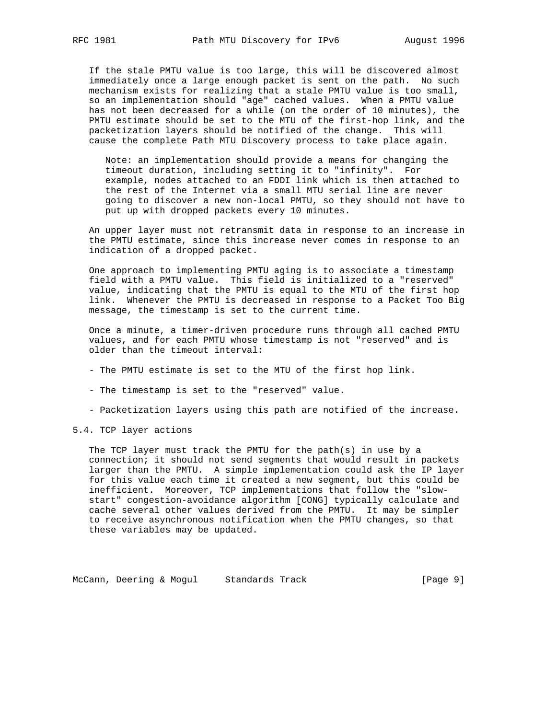If the stale PMTU value is too large, this will be discovered almost immediately once a large enough packet is sent on the path. No such mechanism exists for realizing that a stale PMTU value is too small, so an implementation should "age" cached values. When a PMTU value has not been decreased for a while (on the order of 10 minutes), the PMTU estimate should be set to the MTU of the first-hop link, and the packetization layers should be notified of the change. This will cause the complete Path MTU Discovery process to take place again.

 Note: an implementation should provide a means for changing the timeout duration, including setting it to "infinity". For example, nodes attached to an FDDI link which is then attached to the rest of the Internet via a small MTU serial line are never going to discover a new non-local PMTU, so they should not have to put up with dropped packets every 10 minutes.

 An upper layer must not retransmit data in response to an increase in the PMTU estimate, since this increase never comes in response to an indication of a dropped packet.

 One approach to implementing PMTU aging is to associate a timestamp field with a PMTU value. This field is initialized to a "reserved" value, indicating that the PMTU is equal to the MTU of the first hop link. Whenever the PMTU is decreased in response to a Packet Too Big message, the timestamp is set to the current time.

 Once a minute, a timer-driven procedure runs through all cached PMTU values, and for each PMTU whose timestamp is not "reserved" and is older than the timeout interval:

- The PMTU estimate is set to the MTU of the first hop link.
- The timestamp is set to the "reserved" value.
- Packetization layers using this path are notified of the increase.
- 5.4. TCP layer actions

 The TCP layer must track the PMTU for the path(s) in use by a connection; it should not send segments that would result in packets larger than the PMTU. A simple implementation could ask the IP layer for this value each time it created a new segment, but this could be inefficient. Moreover, TCP implementations that follow the "slow start" congestion-avoidance algorithm [CONG] typically calculate and cache several other values derived from the PMTU. It may be simpler to receive asynchronous notification when the PMTU changes, so that these variables may be updated.

McCann, Deering & Mogul Standards Track [Page 9]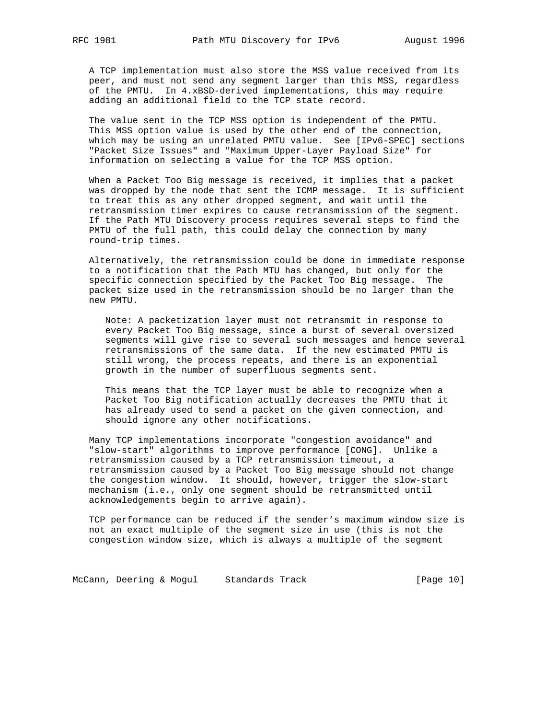A TCP implementation must also store the MSS value received from its peer, and must not send any segment larger than this MSS, regardless of the PMTU. In 4.xBSD-derived implementations, this may require adding an additional field to the TCP state record.

 The value sent in the TCP MSS option is independent of the PMTU. This MSS option value is used by the other end of the connection, which may be using an unrelated PMTU value. See [IPv6-SPEC] sections "Packet Size Issues" and "Maximum Upper-Layer Payload Size" for information on selecting a value for the TCP MSS option.

 When a Packet Too Big message is received, it implies that a packet was dropped by the node that sent the ICMP message. It is sufficient to treat this as any other dropped segment, and wait until the retransmission timer expires to cause retransmission of the segment. If the Path MTU Discovery process requires several steps to find the PMTU of the full path, this could delay the connection by many round-trip times.

 Alternatively, the retransmission could be done in immediate response to a notification that the Path MTU has changed, but only for the specific connection specified by the Packet Too Big message. The packet size used in the retransmission should be no larger than the new PMTU.

 Note: A packetization layer must not retransmit in response to every Packet Too Big message, since a burst of several oversized segments will give rise to several such messages and hence several retransmissions of the same data. If the new estimated PMTU is still wrong, the process repeats, and there is an exponential growth in the number of superfluous segments sent.

 This means that the TCP layer must be able to recognize when a Packet Too Big notification actually decreases the PMTU that it has already used to send a packet on the given connection, and should ignore any other notifications.

 Many TCP implementations incorporate "congestion avoidance" and "slow-start" algorithms to improve performance [CONG]. Unlike a retransmission caused by a TCP retransmission timeout, a retransmission caused by a Packet Too Big message should not change the congestion window. It should, however, trigger the slow-start mechanism (i.e., only one segment should be retransmitted until acknowledgements begin to arrive again).

 TCP performance can be reduced if the sender's maximum window size is not an exact multiple of the segment size in use (this is not the congestion window size, which is always a multiple of the segment

McCann, Deering & Mogul Standards Track [Page 10]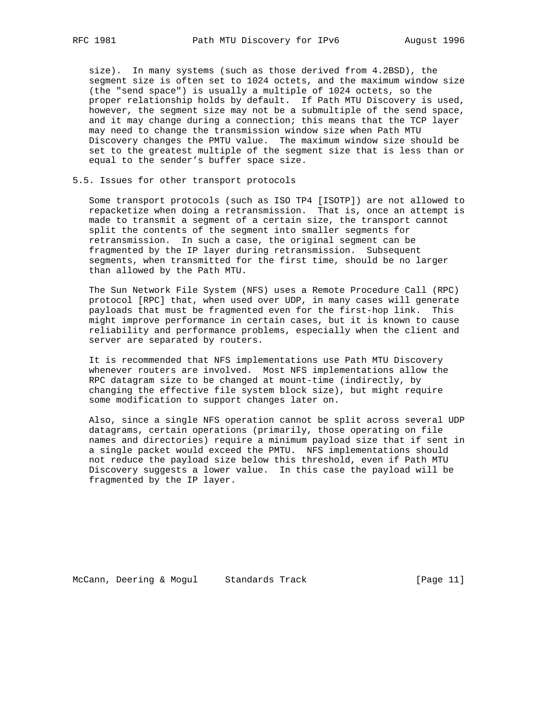size). In many systems (such as those derived from 4.2BSD), the segment size is often set to 1024 octets, and the maximum window size (the "send space") is usually a multiple of 1024 octets, so the proper relationship holds by default. If Path MTU Discovery is used, however, the segment size may not be a submultiple of the send space, and it may change during a connection; this means that the TCP layer may need to change the transmission window size when Path MTU Discovery changes the PMTU value. The maximum window size should be set to the greatest multiple of the segment size that is less than or equal to the sender's buffer space size.

### 5.5. Issues for other transport protocols

 Some transport protocols (such as ISO TP4 [ISOTP]) are not allowed to repacketize when doing a retransmission. That is, once an attempt is made to transmit a segment of a certain size, the transport cannot split the contents of the segment into smaller segments for retransmission. In such a case, the original segment can be fragmented by the IP layer during retransmission. Subsequent segments, when transmitted for the first time, should be no larger than allowed by the Path MTU.

 The Sun Network File System (NFS) uses a Remote Procedure Call (RPC) protocol [RPC] that, when used over UDP, in many cases will generate payloads that must be fragmented even for the first-hop link. This might improve performance in certain cases, but it is known to cause reliability and performance problems, especially when the client and server are separated by routers.

 It is recommended that NFS implementations use Path MTU Discovery whenever routers are involved. Most NFS implementations allow the RPC datagram size to be changed at mount-time (indirectly, by changing the effective file system block size), but might require some modification to support changes later on.

 Also, since a single NFS operation cannot be split across several UDP datagrams, certain operations (primarily, those operating on file names and directories) require a minimum payload size that if sent in a single packet would exceed the PMTU. NFS implementations should not reduce the payload size below this threshold, even if Path MTU Discovery suggests a lower value. In this case the payload will be fragmented by the IP layer.

McCann, Deering & Mogul Standards Track [Page 11]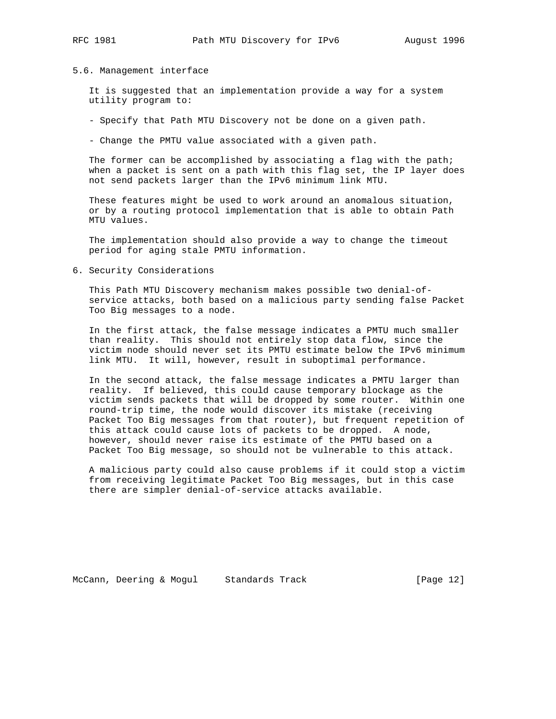#### 5.6. Management interface

 It is suggested that an implementation provide a way for a system utility program to:

- Specify that Path MTU Discovery not be done on a given path.
- Change the PMTU value associated with a given path.

The former can be accomplished by associating a flag with the path; when a packet is sent on a path with this flag set, the IP layer does not send packets larger than the IPv6 minimum link MTU.

 These features might be used to work around an anomalous situation, or by a routing protocol implementation that is able to obtain Path MTU values.

 The implementation should also provide a way to change the timeout period for aging stale PMTU information.

6. Security Considerations

 This Path MTU Discovery mechanism makes possible two denial-of service attacks, both based on a malicious party sending false Packet Too Big messages to a node.

 In the first attack, the false message indicates a PMTU much smaller than reality. This should not entirely stop data flow, since the victim node should never set its PMTU estimate below the IPv6 minimum link MTU. It will, however, result in suboptimal performance.

 In the second attack, the false message indicates a PMTU larger than reality. If believed, this could cause temporary blockage as the victim sends packets that will be dropped by some router. Within one round-trip time, the node would discover its mistake (receiving Packet Too Big messages from that router), but frequent repetition of this attack could cause lots of packets to be dropped. A node, however, should never raise its estimate of the PMTU based on a Packet Too Big message, so should not be vulnerable to this attack.

 A malicious party could also cause problems if it could stop a victim from receiving legitimate Packet Too Big messages, but in this case there are simpler denial-of-service attacks available.

McCann, Deering & Mogul Standards Track [Page 12]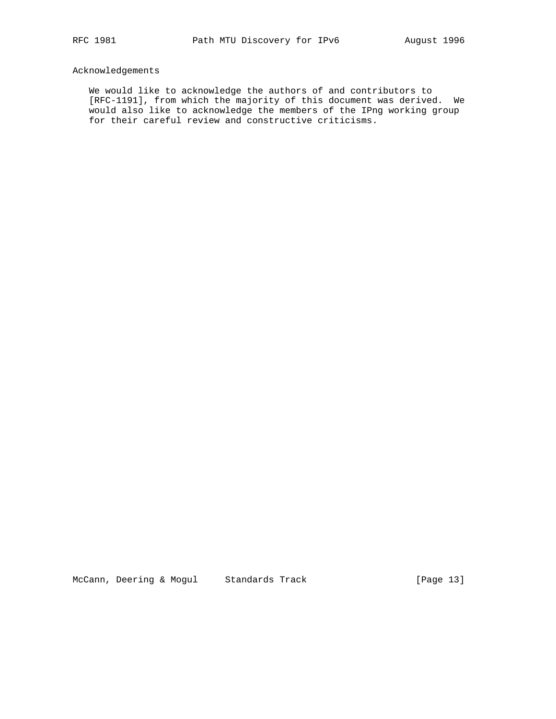# Acknowledgements

 We would like to acknowledge the authors of and contributors to [RFC-1191], from which the majority of this document was derived. We would also like to acknowledge the members of the IPng working group for their careful review and constructive criticisms.

McCann, Deering & Mogul Standards Track [Page 13]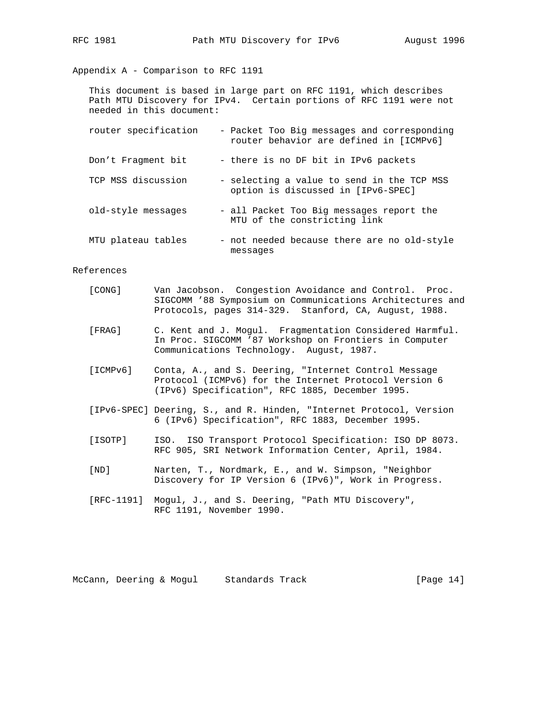Appendix A - Comparison to RFC 1191

 This document is based in large part on RFC 1191, which describes Path MTU Discovery for IPv4. Certain portions of RFC 1191 were not needed in this document:

| router specification | - Packet Too Big messages and corresponding<br>router behavior are defined in [ICMPv6] |
|----------------------|----------------------------------------------------------------------------------------|
| Don't Fragment bit   | - there is no DF bit in IPv6 packets                                                   |
| TCP MSS discussion   | - selecting a value to send in the TCP MSS<br>option is discussed in [IPv6-SPEC]       |
| old-style messages   | - all Packet Too Big messages report the<br>MTU of the constricting link               |
| MTU plateau tables   | - not needed because there are no old-style<br>messages                                |

References

| [CONG]   | Van Jacobson. Congestion Avoidance and Control. Proc.<br>SIGCOMM '88 Symposium on Communications Architectures and<br>Protocols, pages 314-329. Stanford, CA, August, 1988. |
|----------|-----------------------------------------------------------------------------------------------------------------------------------------------------------------------------|
| [FRAG]   | C. Kent and J. Mogul. Fragmentation Considered Harmful.<br>In Proc. SIGCOMM '87 Workshop on Frontiers in Computer<br>Communications Technology. August, 1987.               |
| [ICMPv6] | Conta, A., and S. Deering, "Internet Control Message<br>Protocol (ICMPv6) for the Internet Protocol Version 6<br>(IPv6) Specification", RFC 1885, December 1995.            |
|          | [IPv6-SPEC] Deering, S., and R. Hinden, "Internet Protocol, Version<br>6 (IPv6) Specification", RFC 1883, December 1995.                                                    |
| [ISOTP]  | ISO. ISO Transport Protocol Specification: ISO DP 8073.<br>RFC 905, SRI Network Information Center, April, 1984.                                                            |
| [ND]     | Narten, T., Nordmark, E., and W. Simpson, "Neighbor<br>Discovery for IP Version 6 (IPv6)", Work in Progress.                                                                |
|          | [RFC-1191] Mogul, J., and S. Deering, "Path MTU Discovery",<br>RFC 1191, November 1990.                                                                                     |
|          |                                                                                                                                                                             |

McCann, Deering & Mogul Standards Track [Page 14]